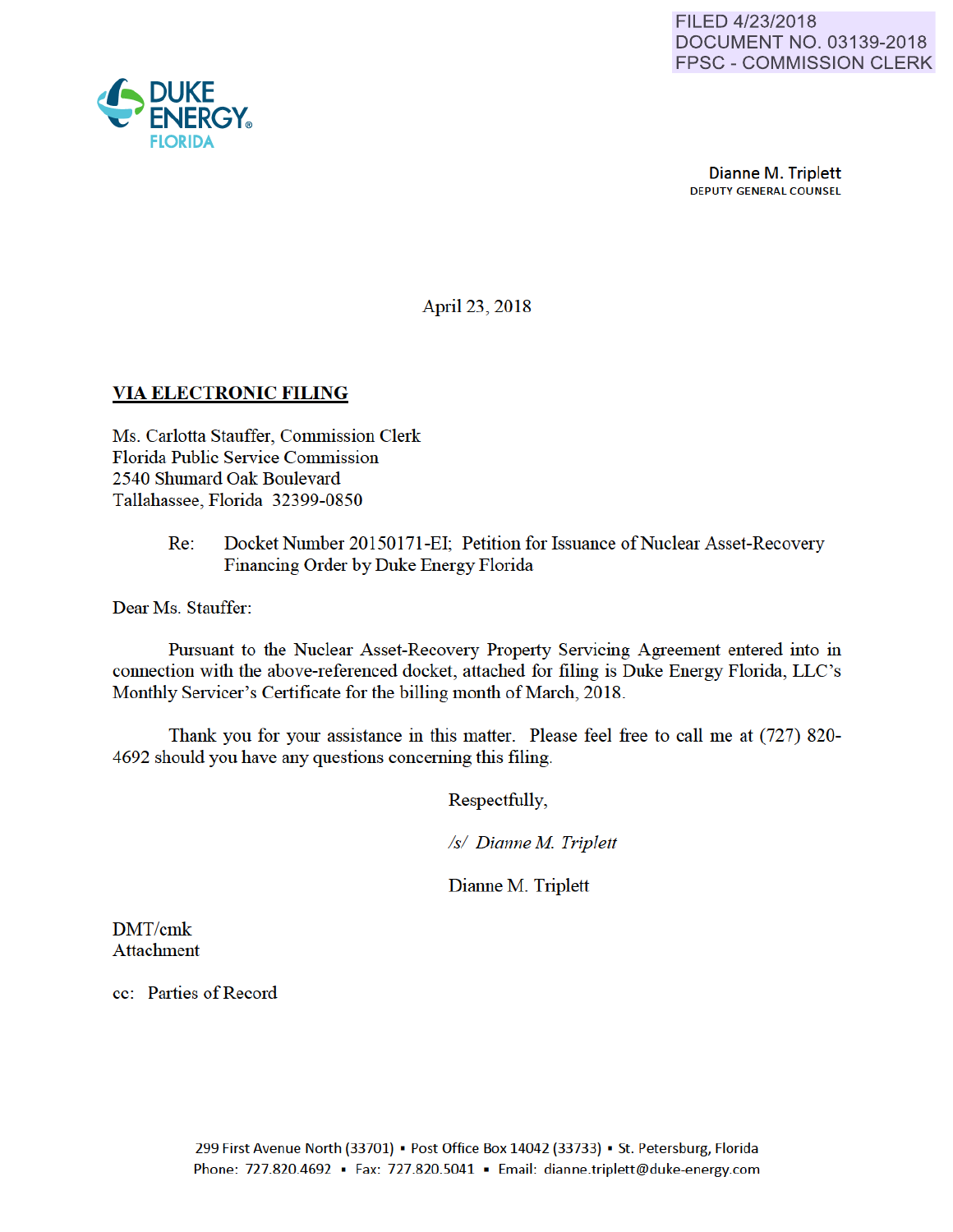Dianne M. Triplett DEPUTY GENERAL COUNSEL

April 23, 2018

## VIA ELECTRONIC FILING

Ms. Carlotta Stauffer, Commission Clerk Florida Public Service Commission 2540 Shumard Oak Boulevard Tallahassee, Florida 32399-0850

> Re: Docket Number 20150171-EI; Petition for Issuance of Nuclear Asset-Recovery Financing Order by Duke Energy Florida

Dear Ms. Stauffer:

Pursuant to the Nuclear Asset-Recovery Property Servicing Agreement entered into in connection with the above-referenced docket, attached for filing is Duke Energy Florida, LLC's Monthly Servicer's Certificate for the billing month of March, 2018.

Thank you for your assistance in this matter. Please feel free to call me at (727) 820- 4692 should you have any questions conceming this filing.

Respectfully,

*Is/ Dianne M Triplett* 

Dianne M. Triplett

DMT/cmk Attachment

cc: Parties of Record

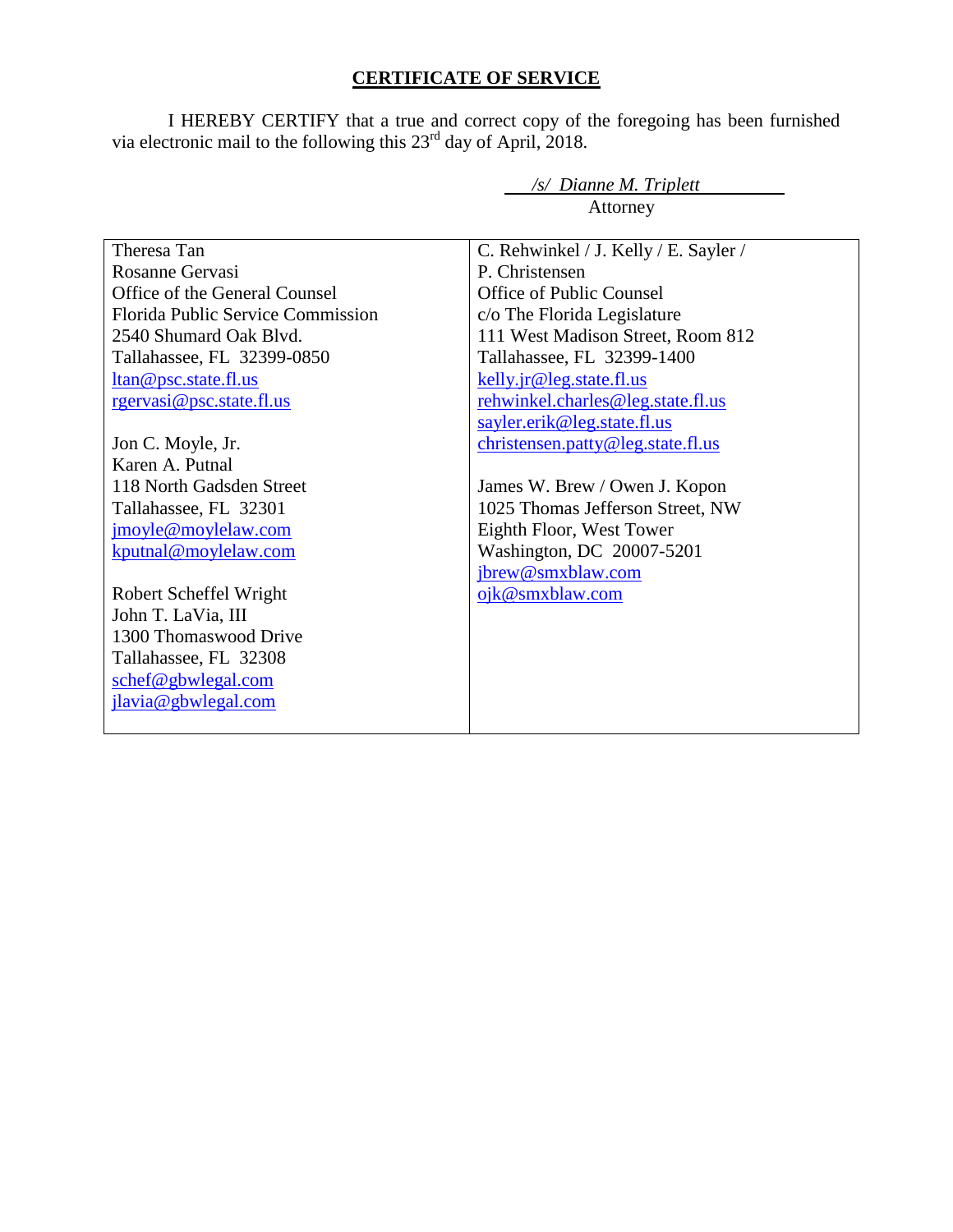# **CERTIFICATE OF SERVICE**

I HEREBY CERTIFY that a true and correct copy of the foregoing has been furnished via electronic mail to the following this  $23<sup>rd</sup>$  day of April, 2018.

*/s/ Dianne M. Triplett* 

| Attorney                                                                                                                                                                             |                                                                                                                                                                                                                          |
|--------------------------------------------------------------------------------------------------------------------------------------------------------------------------------------|--------------------------------------------------------------------------------------------------------------------------------------------------------------------------------------------------------------------------|
| Theresa Tan<br>Rosanne Gervasi<br>Office of the General Counsel<br>Florida Public Service Commission<br>2540 Shumard Oak Blvd.<br>Tallahassee, FL 32399-0850<br>ltan@psc.state.fl.us | C. Rehwinkel / J. Kelly / E. Sayler /<br>P. Christensen<br><b>Office of Public Counsel</b><br>c/o The Florida Legislature<br>111 West Madison Street, Room 812<br>Tallahassee, FL 32399-1400<br>kelly.jr@leg.state.fl.us |
| rgervasi@psc.state.fl.us                                                                                                                                                             | rehwinkel.charles@leg.state.fl.us                                                                                                                                                                                        |
| Jon C. Moyle, Jr.<br>Karen A. Putnal<br>118 North Gadsden Street<br>Tallahassee, FL 32301<br>jmoyle@moylelaw.com<br>kputnal@moylelaw.com                                             | sayler.erik@leg.state.fl.us<br>christensen.patty@leg.state.fl.us<br>James W. Brew / Owen J. Kopon<br>1025 Thomas Jefferson Street, NW<br>Eighth Floor, West Tower<br>Washington, DC 20007-5201<br>jbrew@smxblaw.com      |
| Robert Scheffel Wright<br>John T. LaVia, III<br>1300 Thomaswood Drive                                                                                                                | ojk@smxblaw.com                                                                                                                                                                                                          |
| Tallahassee, FL 32308<br>schef@gbwlegal.com<br>jlavia@gbwlegal.com                                                                                                                   |                                                                                                                                                                                                                          |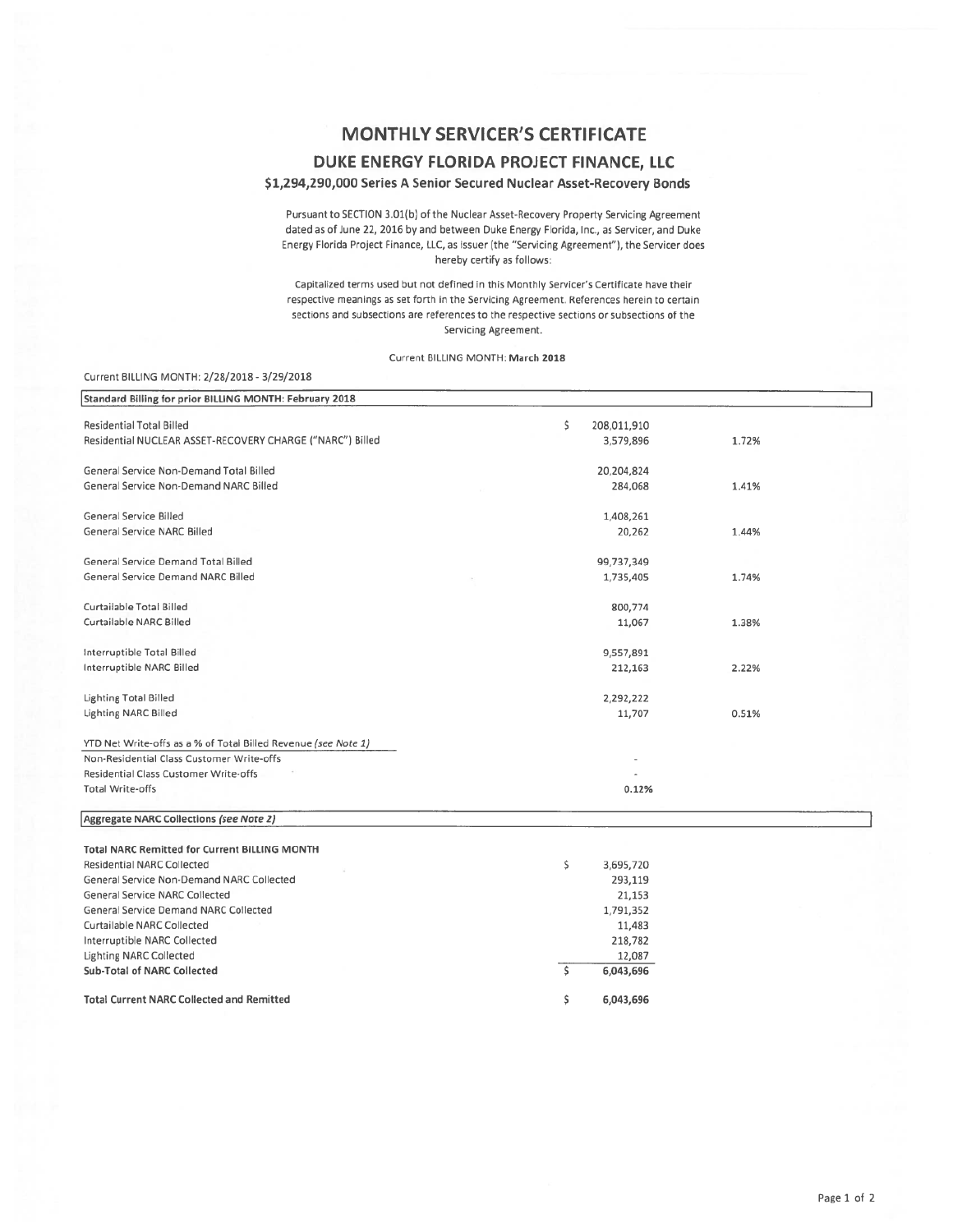# **MONTHLY SERVICER'S CERTIFICATE** DUKE ENERGY FLORIDA PROJECT FINANCE, LLC

### \$1,294,290,000 Series A Senior Secured Nuclear Asset-Recovery Bonds

Pursuant to SECTION 3.01(b) of the Nuclear Asset-Recovery Property Servicing Agreement dated as of June 22, 2016 by and between Duke Energy Florida, Inc., as Servicer, and Duke Energy Florida Project Finance, LLC, as issuer (the "Servicing Agreement"), the Servicer does hereby certify as follows:

Capitalized terms used but not defined in this Monthly Servicer's Certificate have their respective meanings as set forth in the Servicing Agreement. References herein to certain sections and subsections are references to the respective sections or subsections of the Servicing Agreement.

#### Current BILLING MONTH: March 2018

### Current BILLING MONTH: 2/28/2018 - 3/29/2018

Curtailable NARC Collected Interruptible NARC Collected

Sub-Total of NARC Collected

**Total Current NARC Collected and Remitted** 

Lighting NARC Collected

| Standard Billing for prior BILLING MONTH: February 2018        |                   |       |
|----------------------------------------------------------------|-------------------|-------|
| <b>Residential Total Billed</b>                                | \$<br>208,011,910 |       |
| Residential NUCLEAR ASSET-RECOVERY CHARGE ("NARC") Billed      | 3,579,896         | 1.72% |
| General Service Non-Demand Total Billed                        | 20,204,824        |       |
| General Service Non-Demand NARC Billed                         | 284,068           | 1.41% |
| General Service Billed                                         | 1,408,261         |       |
| <b>General Service NARC Billed</b>                             | 20,262            | 1.44% |
| General Service Demand Total Billed                            | 99,737,349        |       |
| General Service Demand NARC Billed                             | 1,735,405         | 1.74% |
| Curtailable Total Billed                                       | 800,774           |       |
| Curtailable NARC Billed                                        | 11,067            | 1.38% |
| Interruptible Total Billed                                     | 9,557,891         |       |
| Interruptible NARC Billed                                      | 212,163           | 2.22% |
| Lighting Total Billed                                          | 2,292,222         |       |
| Lighting NARC Billed                                           | 11,707            | 0.51% |
| YTD Net Write-offs as a % of Total Billed Revenue (see Note 1) |                   |       |
| Non-Residential Class Customer Write-offs                      |                   |       |
| Residential Class Customer Write-offs                          |                   |       |
| <b>Total Write-offs</b>                                        | 0.12%             |       |
| Aggregate NARC Collections (see Note 2)                        |                   |       |
| <b>Total NARC Remitted for Current BILLING MONTH</b>           |                   |       |
| Residential NARC Collected                                     | \$<br>3,695,720   |       |
| General Service Non-Demand NARC Collected                      | 293,119           |       |
| <b>General Service NARC Collected</b>                          | 21,153            |       |
| General Service Demand NARC Collected                          | 1.791.352         |       |

11,483

218,782

6,043,696

6,043,696

5

\$

12,087